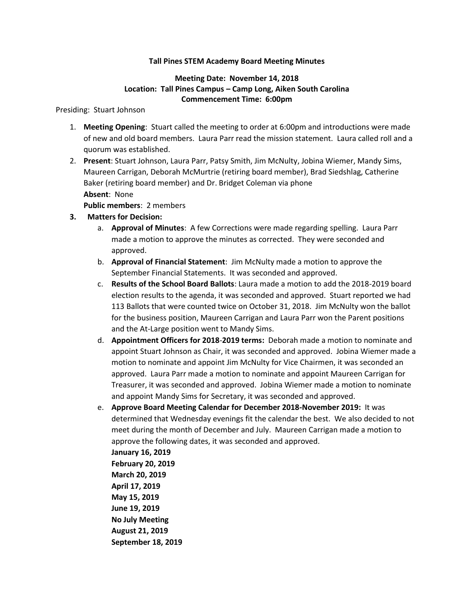### **Tall Pines STEM Academy Board Meeting Minutes**

## **Meeting Date: November 14, 2018 Location: Tall Pines Campus – Camp Long, Aiken South Carolina Commencement Time: 6:00pm**

#### Presiding: Stuart Johnson

- 1. **Meeting Opening**: Stuart called the meeting to order at 6:00pm and introductions were made of new and old board members. Laura Parr read the mission statement. Laura called roll and a quorum was established.
- 2. **Present**: Stuart Johnson, Laura Parr, Patsy Smith, Jim McNulty, Jobina Wiemer, Mandy Sims, Maureen Carrigan, Deborah McMurtrie (retiring board member), Brad Siedshlag, Catherine Baker (retiring board member) and Dr. Bridget Coleman via phone **Absent**: None

**Public members**: 2 members

- **3. Matters for Decision:**
	- a. **Approval of Minutes**: A few Corrections were made regarding spelling. Laura Parr made a motion to approve the minutes as corrected. They were seconded and approved.
	- b. **Approval of Financial Statement**: Jim McNulty made a motion to approve the September Financial Statements. It was seconded and approved.
	- c. **Results of the School Board Ballots**: Laura made a motion to add the 2018-2019 board election results to the agenda, it was seconded and approved. Stuart reported we had 113 Ballots that were counted twice on October 31, 2018. Jim McNulty won the ballot for the business position, Maureen Carrigan and Laura Parr won the Parent positions and the At-Large position went to Mandy Sims.
	- d. **Appointment Officers for 2018**-**2019 terms:** Deborah made a motion to nominate and appoint Stuart Johnson as Chair, it was seconded and approved. Jobina Wiemer made a motion to nominate and appoint Jim McNulty for Vice Chairmen, it was seconded an approved. Laura Parr made a motion to nominate and appoint Maureen Carrigan for Treasurer, it was seconded and approved. Jobina Wiemer made a motion to nominate and appoint Mandy Sims for Secretary, it was seconded and approved.
	- e. **Approve Board Meeting Calendar for December 2018-November 2019:** It was determined that Wednesday evenings fit the calendar the best. We also decided to not meet during the month of December and July. Maureen Carrigan made a motion to approve the following dates, it was seconded and approved.

**January 16, 2019 February 20, 2019 March 20, 2019 April 17, 2019 May 15, 2019 June 19, 2019 No July Meeting August 21, 2019 September 18, 2019**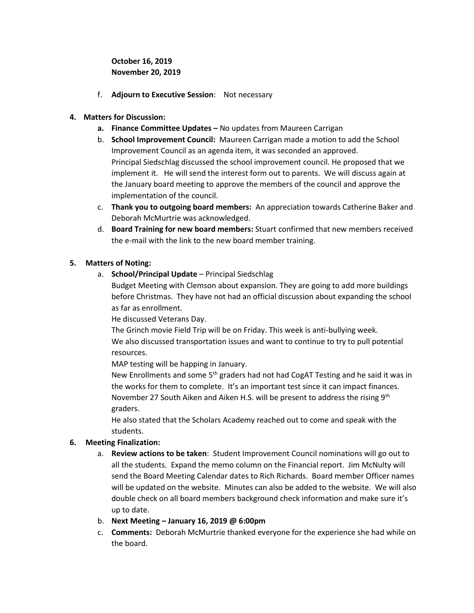**October 16, 2019 November 20, 2019**

- f. **Adjourn to Executive Session**: Not necessary
- **4. Matters for Discussion:**
	- **a. Finance Committee Updates –** No updates from Maureen Carrigan
	- b. **School Improvement Council:** Maureen Carrigan made a motion to add the School Improvement Council as an agenda item, it was seconded an approved. Principal Siedschlag discussed the school improvement council. He proposed that we implement it. He will send the interest form out to parents. We will discuss again at the January board meeting to approve the members of the council and approve the implementation of the council.
	- c. **Thank you to outgoing board members:** An appreciation towards Catherine Baker and Deborah McMurtrie was acknowledged.
	- d. **Board Training for new board members:** Stuart confirmed that new members received the e-mail with the link to the new board member training.

## **5. Matters of Noting:**

a. **School/Principal Update** – Principal Siedschlag

Budget Meeting with Clemson about expansion. They are going to add more buildings before Christmas. They have not had an official discussion about expanding the school as far as enrollment.

He discussed Veterans Day.

The Grinch movie Field Trip will be on Friday. This week is anti-bullying week. We also discussed transportation issues and want to continue to try to pull potential resources.

MAP testing will be happing in January.

New Enrollments and some  $5<sup>th</sup>$  graders had not had CogAT Testing and he said it was in the works for them to complete. It's an important test since it can impact finances. November 27 South Aiken and Aiken H.S. will be present to address the rising 9<sup>th</sup> graders.

He also stated that the Scholars Academy reached out to come and speak with the students.

# **6. Meeting Finalization:**

- a. **Review actions to be taken**: Student Improvement Council nominations will go out to all the students. Expand the memo column on the Financial report. Jim McNulty will send the Board Meeting Calendar dates to Rich Richards. Board member Officer names will be updated on the website. Minutes can also be added to the website. We will also double check on all board members background check information and make sure it's up to date.
- b. **Next Meeting – January 16, 2019 @ 6:00pm**
- c. **Comments:** Deborah McMurtrie thanked everyone for the experience she had while on the board.